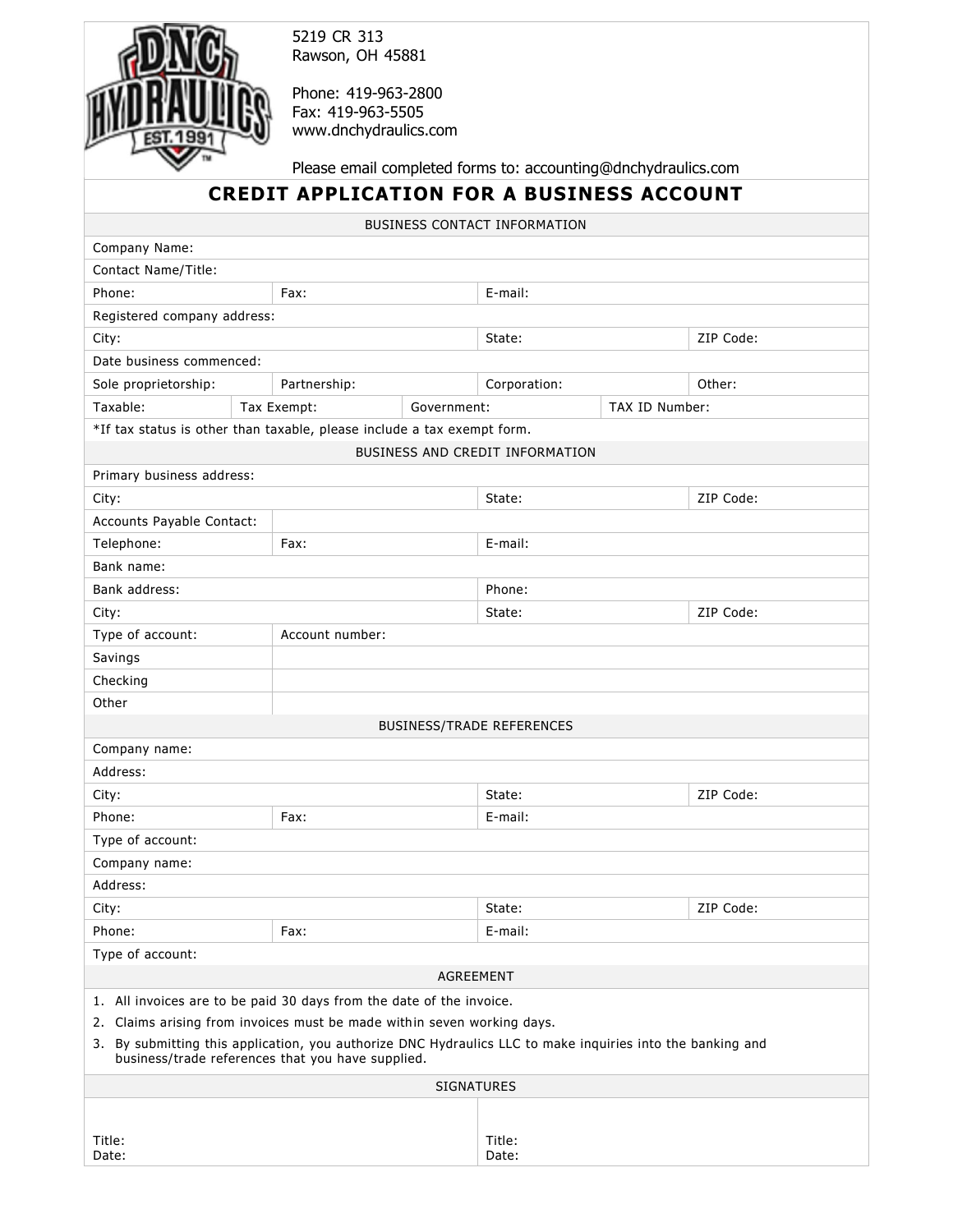

5219 CR 313 Rawson, OH 45881

Phone: 419-963-2800 Fax: 419-963-5505 [www.dnchydraulics.com](http://www.dnchydraulics.com/) 

Please email completed forms to: accounting@dnchydraulics.com

## **CREDIT APPLICATION FOR A BUSINESS ACCOUNT**

BUSINESS CONTACT INFORMATION

| Company Name:                                                                                              |                                                   |                   |                                  |                |           |
|------------------------------------------------------------------------------------------------------------|---------------------------------------------------|-------------------|----------------------------------|----------------|-----------|
| Contact Name/Title:                                                                                        |                                                   |                   |                                  |                |           |
| Phone:                                                                                                     | Fax:                                              |                   | E-mail:                          |                |           |
| Registered company address:                                                                                |                                                   |                   |                                  |                |           |
| City:                                                                                                      |                                                   |                   | State:                           |                | ZIP Code: |
| Date business commenced:                                                                                   |                                                   |                   |                                  |                |           |
| Sole proprietorship:                                                                                       | Partnership:                                      |                   | Corporation:                     |                | Other:    |
| Taxable:                                                                                                   | Tax Exempt:                                       | Government:       |                                  | TAX ID Number: |           |
| *If tax status is other than taxable, please include a tax exempt form.                                    |                                                   |                   |                                  |                |           |
|                                                                                                            |                                                   |                   | BUSINESS AND CREDIT INFORMATION  |                |           |
| Primary business address:                                                                                  |                                                   |                   |                                  |                |           |
| City:                                                                                                      |                                                   |                   | State:                           |                | ZIP Code: |
| Accounts Payable Contact:                                                                                  |                                                   |                   |                                  |                |           |
| Telephone:                                                                                                 | Fax:                                              |                   | E-mail:                          |                |           |
| Bank name:                                                                                                 |                                                   |                   |                                  |                |           |
| Bank address:                                                                                              |                                                   |                   | Phone:                           |                |           |
| City:                                                                                                      |                                                   |                   | State:                           |                | ZIP Code: |
| Type of account:                                                                                           | Account number:                                   |                   |                                  |                |           |
| Savings                                                                                                    |                                                   |                   |                                  |                |           |
| Checking                                                                                                   |                                                   |                   |                                  |                |           |
| Other                                                                                                      |                                                   |                   |                                  |                |           |
|                                                                                                            |                                                   |                   | <b>BUSINESS/TRADE REFERENCES</b> |                |           |
| Company name:                                                                                              |                                                   |                   |                                  |                |           |
| Address:                                                                                                   |                                                   |                   |                                  |                |           |
| City:                                                                                                      |                                                   |                   | State:                           |                | ZIP Code: |
| Phone:                                                                                                     | Fax:                                              |                   | E-mail:                          |                |           |
| Type of account:                                                                                           |                                                   |                   |                                  |                |           |
| Company name:                                                                                              |                                                   |                   |                                  |                |           |
| Address:                                                                                                   |                                                   |                   |                                  |                |           |
| City:                                                                                                      |                                                   |                   | State:                           |                | ZIP Code: |
| Phone:                                                                                                     | Fax:                                              |                   | E-mail:                          |                |           |
| Type of account:                                                                                           |                                                   |                   |                                  |                |           |
|                                                                                                            |                                                   | AGREEMENT         |                                  |                |           |
| 1. All invoices are to be paid 30 days from the date of the invoice.                                       |                                                   |                   |                                  |                |           |
| 2. Claims arising from invoices must be made within seven working days.                                    |                                                   |                   |                                  |                |           |
| 3. By submitting this application, you authorize DNC Hydraulics LLC to make inquiries into the banking and | business/trade references that you have supplied. |                   |                                  |                |           |
|                                                                                                            |                                                   | <b>SIGNATURES</b> |                                  |                |           |
|                                                                                                            |                                                   |                   |                                  |                |           |
| Title:<br>Date:                                                                                            |                                                   |                   | Title:<br>Date:                  |                |           |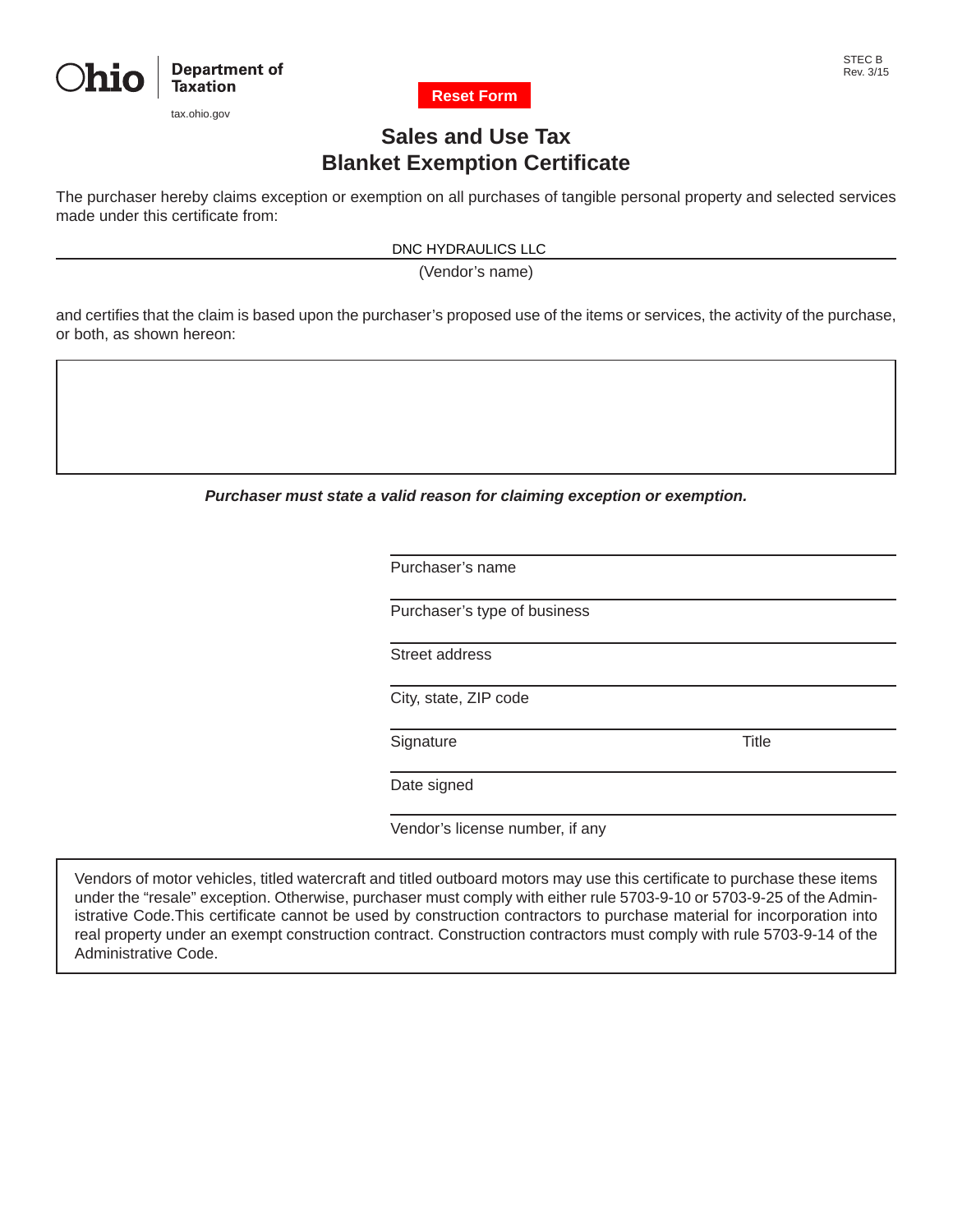

tax.ohio.gov



#### STEC B Rev. 3/15

# **Sales and Use Tax Blanket Exemption Certificate**

The purchaser hereby claims exception or exemption on all purchases of tangible personal property and selected services made under this certificate from:

DNC HYDRAULICS LLC

(Vendor's name)

and certifies that the claim is based upon the purchaser's proposed use of the items or services, the activity of the purchase, or both, as shown hereon:

*Purchaser must state a valid reason for claiming exception or exemption.*

Purchaser's name

Purchaser's type of business

Street address

City, state, ZIP code

Signature Title

Date signed

Vendor's license number, if any

Vendors of motor vehicles, titled watercraft and titled outboard motors may use this certificate to purchase these items under the "resale" exception. Otherwise, purchaser must comply with either rule 5703-9-10 or 5703-9-25 of the Administrative Code.This certificate cannot be used by construction contractors to purchase material for incorporation into real property under an exempt construction contract. Construction contractors must comply with rule 5703-9-14 of the Administrative Code.